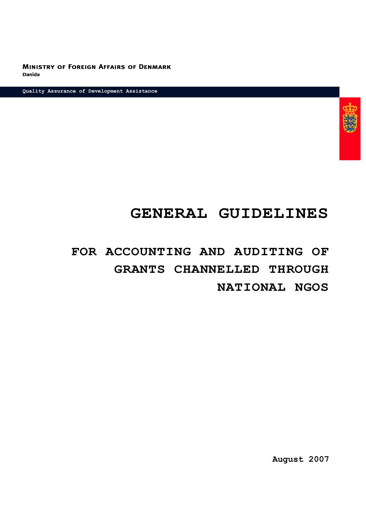**MINISTRY OF FOREIGN AFFAIRS OF DENMARK Danida** 

**Quality Assurance of Development Assistance**



# **GENERAL GUIDELINES**

# **FOR ACCOUNTING AND AUDITING OF GRANTS CHANNELLED THROUGH NATIONAL NGOS**

**August 2007**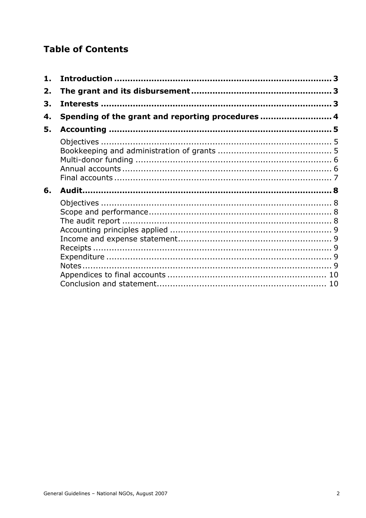# **Table of Contents**

| 1. |                                                   |  |
|----|---------------------------------------------------|--|
| 2. |                                                   |  |
| 3. |                                                   |  |
| 4. | Spending of the grant and reporting procedures  4 |  |
| 5. |                                                   |  |
|    |                                                   |  |
|    |                                                   |  |
|    |                                                   |  |
|    |                                                   |  |
|    |                                                   |  |
| 6. |                                                   |  |
|    |                                                   |  |
|    |                                                   |  |
|    |                                                   |  |
|    |                                                   |  |
|    |                                                   |  |
|    |                                                   |  |
|    |                                                   |  |
|    |                                                   |  |
|    |                                                   |  |
|    |                                                   |  |
|    |                                                   |  |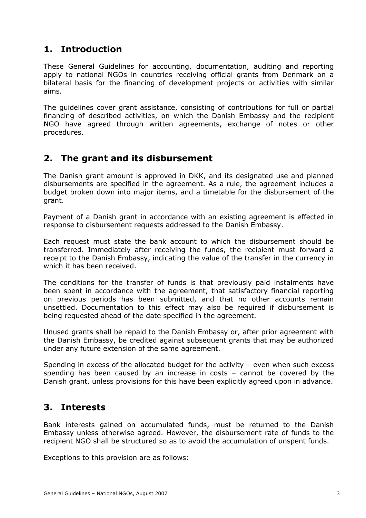# <span id="page-2-0"></span>**1. Introduction**

These General Guidelines for accounting, documentation, auditing and reporting apply to national NGOs in countries receiving official grants from Denmark on a bilateral basis for the financing of development projects or activities with similar aims.

The guidelines cover grant assistance, consisting of contributions for full or partial financing of described activities, on which the Danish Embassy and the recipient NGO have agreed through written agreements, exchange of notes or other procedures.

# <span id="page-2-1"></span>**2. The grant and its disbursement**

The Danish grant amount is approved in DKK, and its designated use and planned disbursements are specified in the agreement. As a rule, the agreement includes a budget broken down into major items, and a timetable for the disbursement of the grant.

Payment of a Danish grant in accordance with an existing agreement is effected in response to disbursement requests addressed to the Danish Embassy.

Each request must state the bank account to which the disbursement should be transferred. Immediately after receiving the funds, the recipient must forward a receipt to the Danish Embassy, indicating the value of the transfer in the currency in which it has been received.

The conditions for the transfer of funds is that previously paid instalments have been spent in accordance with the agreement, that satisfactory financial reporting on previous periods has been submitted, and that no other accounts remain unsettled. Documentation to this effect may also be required if disbursement is being requested ahead of the date specified in the agreement.

Unused grants shall be repaid to the Danish Embassy or, after prior agreement with the Danish Embassy, be credited against subsequent grants that may be authorized under any future extension of the same agreement.

Spending in excess of the allocated budget for the activity – even when such excess spending has been caused by an increase in costs – cannot be covered by the Danish grant, unless provisions for this have been explicitly agreed upon in advance.

# <span id="page-2-2"></span>**3. Interests**

Bank interests gained on accumulated funds, must be returned to the Danish Embassy unless otherwise agreed. However, the disbursement rate of funds to the recipient NGO shall be structured so as to avoid the accumulation of unspent funds.

Exceptions to this provision are as follows: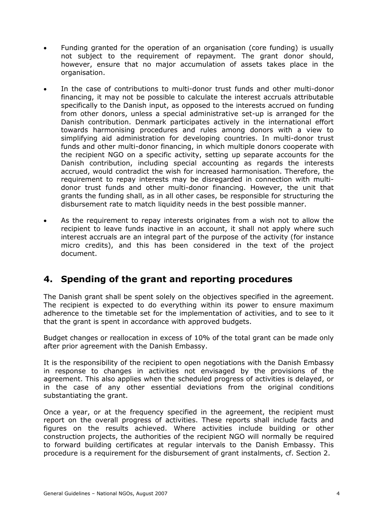- Funding granted for the operation of an organisation (core funding) is usually not subject to the requirement of repayment. The grant donor should, however, ensure that no major accumulation of assets takes place in the organisation.
- In the case of contributions to multi-donor trust funds and other multi-donor financing, it may not be possible to calculate the interest accruals attributable specifically to the Danish input, as opposed to the interests accrued on funding from other donors, unless a special administrative set-up is arranged for the Danish contribution. Denmark participates actively in the international effort towards harmonising procedures and rules among donors with a view to simplifying aid administration for developing countries. In multi-donor trust funds and other multi-donor financing, in which multiple donors cooperate with the recipient NGO on a specific activity, setting up separate accounts for the Danish contribution, including special accounting as regards the interests accrued, would contradict the wish for increased harmonisation. Therefore, the requirement to repay interests may be disregarded in connection with multidonor trust funds and other multi-donor financing. However, the unit that grants the funding shall, as in all other cases, be responsible for structuring the disbursement rate to match liquidity needs in the best possible manner.
- As the requirement to repay interests originates from a wish not to allow the recipient to leave funds inactive in an account, it shall not apply where such interest accruals are an integral part of the purpose of the activity (for instance micro credits), and this has been considered in the text of the project document.

# <span id="page-3-0"></span>**4. Spending of the grant and reporting procedures**

The Danish grant shall be spent solely on the objectives specified in the agreement. The recipient is expected to do everything within its power to ensure maximum adherence to the timetable set for the implementation of activities, and to see to it that the grant is spent in accordance with approved budgets.

Budget changes or reallocation in excess of 10% of the total grant can be made only after prior agreement with the Danish Embassy.

It is the responsibility of the recipient to open negotiations with the Danish Embassy in response to changes in activities not envisaged by the provisions of the agreement. This also applies when the scheduled progress of activities is delayed, or in the case of any other essential deviations from the original conditions substantiating the grant.

Once a year, or at the frequency specified in the agreement, the recipient must report on the overall progress of activities. These reports shall include facts and figures on the results achieved. Where activities include building or other construction projects, the authorities of the recipient NGO will normally be required to forward building certificates at regular intervals to the Danish Embassy. This procedure is a requirement for the disbursement of grant instalments, cf. Section 2.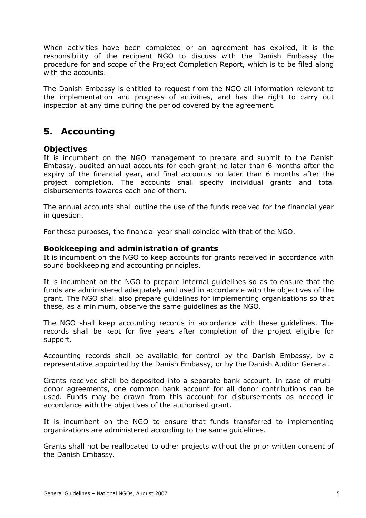When activities have been completed or an agreement has expired, it is the responsibility of the recipient NGO to discuss with the Danish Embassy the procedure for and scope of the Project Completion Report, which is to be filed along with the accounts.

The Danish Embassy is entitled to request from the NGO all information relevant to the implementation and progress of activities, and has the right to carry out inspection at any time during the period covered by the agreement.

# <span id="page-4-0"></span>**5. Accounting**

# <span id="page-4-1"></span>**Objectives**

It is incumbent on the NGO management to prepare and submit to the Danish Embassy, audited annual accounts for each grant no later than 6 months after the expiry of the financial year, and final accounts no later than 6 months after the project completion. The accounts shall specify individual grants and total disbursements towards each one of them.

The annual accounts shall outline the use of the funds received for the financial year in question.

For these purposes, the financial year shall coincide with that of the NGO.

# <span id="page-4-2"></span>**Bookkeeping and administration of grants**

It is incumbent on the NGO to keep accounts for grants received in accordance with sound bookkeeping and accounting principles.

It is incumbent on the NGO to prepare internal guidelines so as to ensure that the funds are administered adequately and used in accordance with the objectives of the grant. The NGO shall also prepare guidelines for implementing organisations so that these, as a minimum, observe the same guidelines as the NGO.

The NGO shall keep accounting records in accordance with these guidelines. The records shall be kept for five years after completion of the project eligible for support.

Accounting records shall be available for control by the Danish Embassy, by a representative appointed by the Danish Embassy, or by the Danish Auditor General.

Grants received shall be deposited into a separate bank account. In case of multidonor agreements, one common bank account for all donor contributions can be used. Funds may be drawn from this account for disbursements as needed in accordance with the objectives of the authorised grant.

It is incumbent on the NGO to ensure that funds transferred to implementing organizations are administered according to the same guidelines.

Grants shall not be reallocated to other projects without the prior written consent of the Danish Embassy.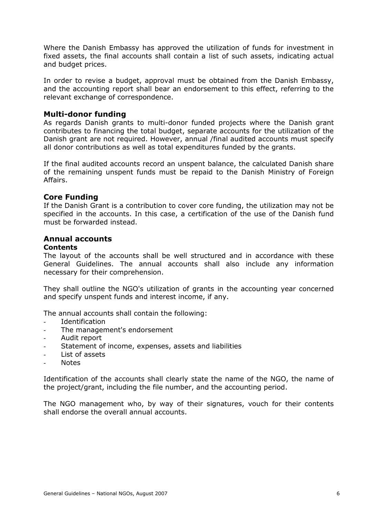Where the Danish Embassy has approved the utilization of funds for investment in fixed assets, the final accounts shall contain a list of such assets, indicating actual and budget prices.

In order to revise a budget, approval must be obtained from the Danish Embassy, and the accounting report shall bear an endorsement to this effect, referring to the relevant exchange of correspondence.

# <span id="page-5-0"></span>**Multi-donor funding**

As regards Danish grants to multi-donor funded projects where the Danish grant contributes to financing the total budget, separate accounts for the utilization of the Danish grant are not required. However, annual /final audited accounts must specify all donor contributions as well as total expenditures funded by the grants.

If the final audited accounts record an unspent balance, the calculated Danish share of the remaining unspent funds must be repaid to the Danish Ministry of Foreign Affairs.

# **Core Funding**

If the Danish Grant is a contribution to cover core funding, the utilization may not be specified in the accounts. In this case, a certification of the use of the Danish fund must be forwarded instead.

# <span id="page-5-1"></span>**Annual accounts**

### **Contents**

The layout of the accounts shall be well structured and in accordance with these General Guidelines. The annual accounts shall also include any information necessary for their comprehension.

They shall outline the NGO's utilization of grants in the accounting year concerned and specify unspent funds and interest income, if any.

The annual accounts shall contain the following:

- Identification
- The management's endorsement
- Audit report
- Statement of income, expenses, assets and liabilities
- List of assets
- Notes

Identification of the accounts shall clearly state the name of the NGO, the name of the project/grant, including the file number, and the accounting period.

The NGO management who, by way of their signatures, vouch for their contents shall endorse the overall annual accounts.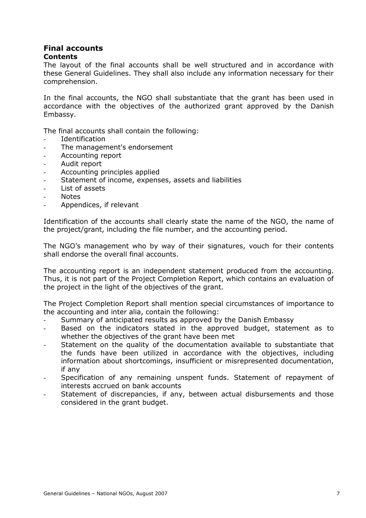#### <span id="page-6-0"></span>**Final accounts Contents**

The layout of the final accounts shall be well structured and in accordance with these General Guidelines. They shall also include any information necessary for their comprehension.

In the final accounts, the NGO shall substantiate that the grant has been used in accordance with the objectives of the authorized grant approved by the Danish Embassy.

The final accounts shall contain the following:

- Identification
- The management's endorsement
- Accounting report
- Audit report
- Accounting principles applied
- Statement of income, expenses, assets and liabilities
- List of assets
- **Notes**
- Appendices, if relevant

Identification of the accounts shall clearly state the name of the NGO, the name of the project/grant, including the file number, and the accounting period.

The NGO's management who by way of their signatures, vouch for their contents shall endorse the overall final accounts.

The accounting report is an independent statement produced from the accounting. Thus, it is not part of the Project Completion Report, which contains an evaluation of the project in the light of the objectives of the grant.

The Project Completion Report shall mention special circumstances of importance to the accounting and inter alia, contain the following:

- Summary of anticipated results as approved by the Danish Embassy
- Based on the indicators stated in the approved budget, statement as to whether the objectives of the grant have been met
- Statement on the quality of the documentation available to substantiate that the funds have been utilized in accordance with the objectives, including information about shortcomings, insufficient or misrepresented documentation, if any
- Specification of any remaining unspent funds. Statement of repayment of interests accrued on bank accounts
- Statement of discrepancies, if any, between actual disbursements and those considered in the grant budget.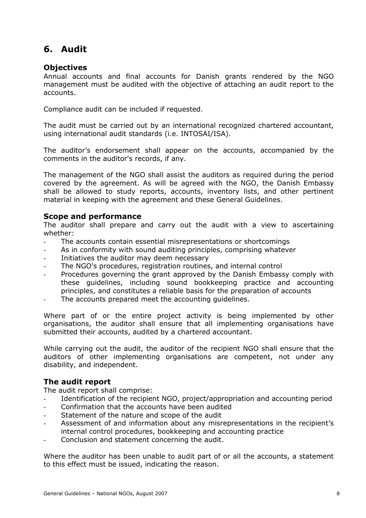# <span id="page-7-0"></span>**6. Audit**

# <span id="page-7-1"></span>**Objectives**

Annual accounts and final accounts for Danish grants rendered by the NGO management must be audited with the objective of attaching an audit report to the accounts.

Compliance audit can be included if requested.

The audit must be carried out by an international recognized chartered accountant, using international audit standards (i.e. INTOSAI/ISA).

The auditor's endorsement shall appear on the accounts, accompanied by the comments in the auditor's records, if any.

The management of the NGO shall assist the auditors as required during the period covered by the agreement. As will be agreed with the NGO, the Danish Embassy shall be allowed to study reports, accounts, inventory lists, and other pertinent material in keeping with the agreement and these General Guidelines.

# <span id="page-7-2"></span>**Scope and performance**

The auditor shall prepare and carry out the audit with a view to ascertaining whether:

- The accounts contain essential misrepresentations or shortcomings
- As in conformity with sound auditing principles, comprising whatever
- Initiatives the auditor may deem necessary
- The NGO's procedures, registration routines, and internal control
- Procedures governing the grant approved by the Danish Embassy comply with these guidelines, including sound bookkeeping practice and accounting principles, and constitutes a reliable basis for the preparation of accounts
- The accounts prepared meet the accounting guidelines.

Where part of or the entire project activity is being implemented by other organisations, the auditor shall ensure that all implementing organisations have submitted their accounts, audited by a chartered accountant.

While carrying out the audit, the auditor of the recipient NGO shall ensure that the auditors of other implementing organisations are competent, not under any disability, and independent.

# <span id="page-7-3"></span>**The audit report**

The audit report shall comprise:

- Identification of the recipient NGO, project/appropriation and accounting period
- Confirmation that the accounts have been audited
- Statement of the nature and scope of the audit
- Assessment of and information about any misrepresentations in the recipient's internal control procedures, bookkeeping and accounting practice
- Conclusion and statement concerning the audit.

Where the auditor has been unable to audit part of or all the accounts, a statement to this effect must be issued, indicating the reason.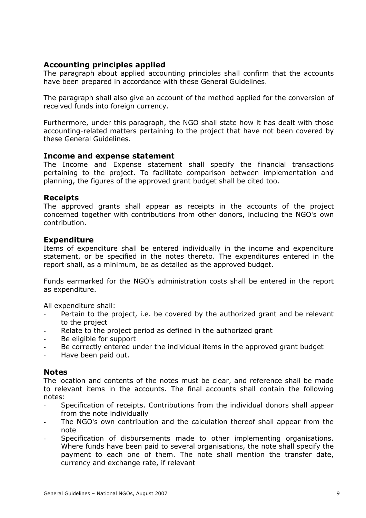# <span id="page-8-0"></span>**Accounting principles applied**

The paragraph about applied accounting principles shall confirm that the accounts have been prepared in accordance with these General Guidelines.

The paragraph shall also give an account of the method applied for the conversion of received funds into foreign currency.

Furthermore, under this paragraph, the NGO shall state how it has dealt with those accounting-related matters pertaining to the project that have not been covered by these General Guidelines.

# <span id="page-8-1"></span>**Income and expense statement**

The Income and Expense statement shall specify the financial transactions pertaining to the project. To facilitate comparison between implementation and planning, the figures of the approved grant budget shall be cited too.

# <span id="page-8-2"></span>**Receipts**

The approved grants shall appear as receipts in the accounts of the project concerned together with contributions from other donors, including the NGO's own contribution.

# <span id="page-8-3"></span>**Expenditure**

Items of expenditure shall be entered individually in the income and expenditure statement, or be specified in the notes thereto. The expenditures entered in the report shall, as a minimum, be as detailed as the approved budget.

Funds earmarked for the NGO's administration costs shall be entered in the report as expenditure.

All expenditure shall:

- Pertain to the project, i.e. be covered by the authorized grant and be relevant to the project
- Relate to the project period as defined in the authorized grant
- Be eligible for support
- Be correctly entered under the individual items in the approved grant budget
- Have been paid out.

# <span id="page-8-4"></span>**Notes**

The location and contents of the notes must be clear, and reference shall be made to relevant items in the accounts. The final accounts shall contain the following notes:

- Specification of receipts. Contributions from the individual donors shall appear from the note individually
- The NGO's own contribution and the calculation thereof shall appear from the note
- Specification of disbursements made to other implementing organisations. Where funds have been paid to several organisations, the note shall specify the payment to each one of them. The note shall mention the transfer date, currency and exchange rate, if relevant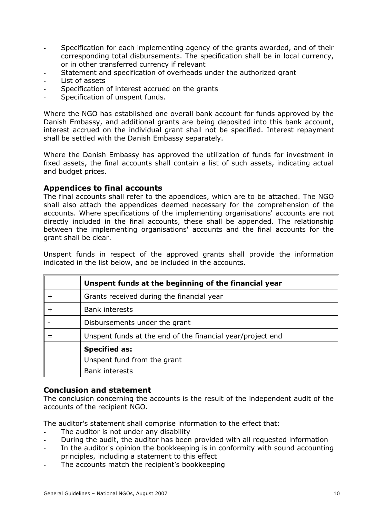- Specification for each implementing agency of the grants awarded, and of their corresponding total disbursements. The specification shall be in local currency, or in other transferred currency if relevant
- Statement and specification of overheads under the authorized grant
- List of assets
- Specification of interest accrued on the grants
- Specification of unspent funds.

Where the NGO has established one overall bank account for funds approved by the Danish Embassy, and additional grants are being deposited into this bank account, interest accrued on the individual grant shall not be specified. Interest repayment shall be settled with the Danish Embassy separately.

Where the Danish Embassy has approved the utilization of funds for investment in fixed assets, the final accounts shall contain a list of such assets, indicating actual and budget prices.

# <span id="page-9-0"></span>**Appendices to final accounts**

The final accounts shall refer to the appendices, which are to be attached. The NGO shall also attach the appendices deemed necessary for the comprehension of the accounts. Where specifications of the implementing organisations' accounts are not directly included in the final accounts, these shall be appended. The relationship between the implementing organisations' accounts and the final accounts for the grant shall be clear.

Unspent funds in respect of the approved grants shall provide the information indicated in the list below, and be included in the accounts.

| Unspent funds at the beginning of the financial year       |
|------------------------------------------------------------|
| Grants received during the financial year                  |
| <b>Bank interests</b>                                      |
| Disbursements under the grant                              |
| Unspent funds at the end of the financial year/project end |
| <b>Specified as:</b>                                       |
| Unspent fund from the grant                                |
| <b>Bank interests</b>                                      |

# <span id="page-9-1"></span>**Conclusion and statement**

The conclusion concerning the accounts is the result of the independent audit of the accounts of the recipient NGO.

The auditor's statement shall comprise information to the effect that:

- The auditor is not under any disability
- During the audit, the auditor has been provided with all requested information
- In the auditor's opinion the bookkeeping is in conformity with sound accounting principles, including a statement to this effect
- The accounts match the recipient's bookkeeping